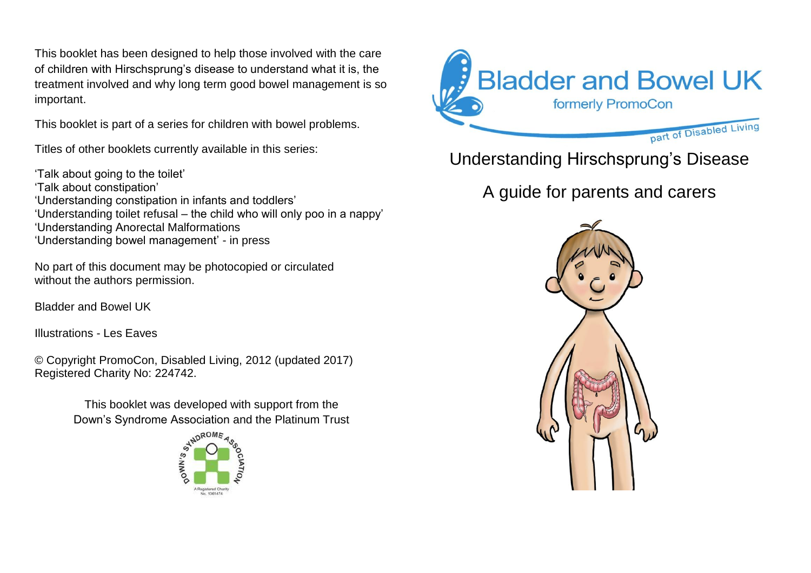This booklet has been designed to help those involved with the care of children with Hirschsprung's disease to understand what it is, the treatment involved and why long term good bowel management is so important.

This booklet is part of a series for children with bowel problems.

Titles of other booklets currently available in this series:

'Talk about going to the toilet' 'Talk about constipation' 'Understanding constipation in infants and toddlers' 'Understanding toilet refusal – the child who will only poo in a nappy' 'Understanding Anorectal Malformations 'Understanding bowel management' - in press

No part of this document may be photocopied or circulated without the authors permission.

Bladder and Bowel UK

Illustrations - Les Eaves

© Copyright PromoCon, Disabled Living, 2012 (updated 2017) Registered Charity No: 224742.

> This booklet was developed with support from the Down's Syndrome Association and the Platinum Trust





Understanding Hirschsprung's Disease

A guide for parents and carers

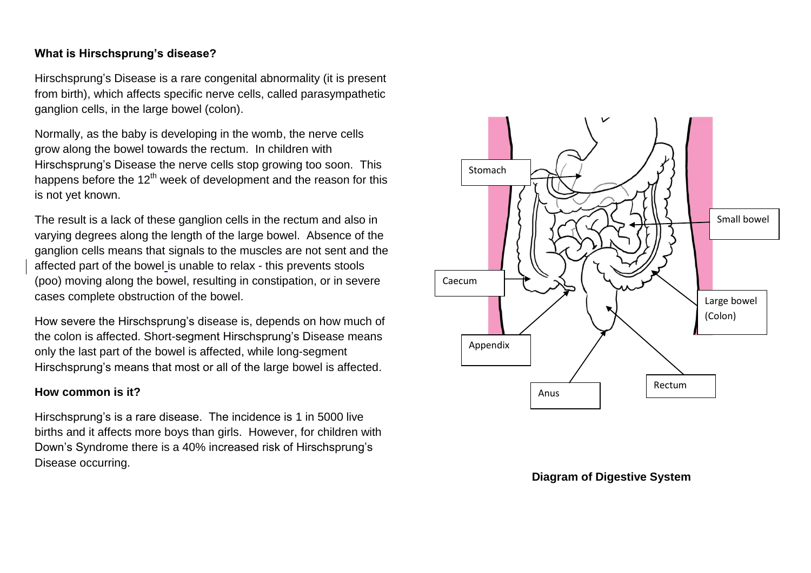### **What is Hirschsprung's disease?**

Hirschsprung's Disease is a rare congenital abnormality (it is present from birth), which affects specific nerve cells, called parasympathetic ganglion cells, in the large bowel (colon).

Normally, as the baby is developing in the womb, the nerve cells grow along the bowel towards the rectum. In children with Hirschsprung's Disease the nerve cells stop growing too soon. This happens before the  $12<sup>th</sup>$  week of development and the reason for this is not yet known.

The result is a lack of these ganglion cells in the rectum and also in varying degrees along the length of the large bowel. Absence of the ganglion cells means that signals to the muscles are not sent and the affected part of the bowel is unable to relax - this prevents stools (poo) moving along the bowel, resulting in constipation, or in severe cases complete obstruction of the bowel.

How severe the Hirschsprung's disease is, depends on how much of the colon is affected. Short-segment Hirschsprung's Disease means only the last part of the bowel is affected, while long-segment Hirschsprung's means that most or all of the large bowel is affected.

### **How common is it?**

Hirschsprung's is a rare disease. The incidence is 1 in 5000 live births and it affects more boys than girls. However, for children with Down's Syndrome there is a 40% increased risk of Hirschsprung's Disease occurring.



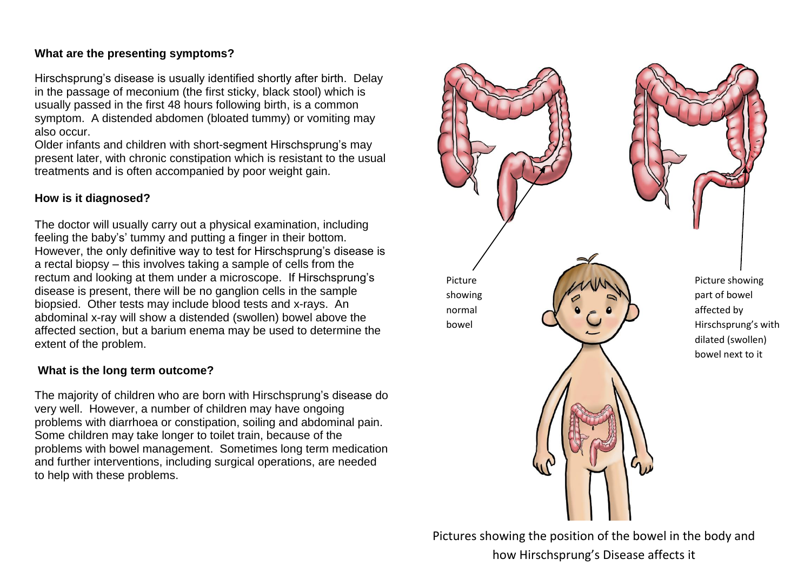### **What are the presenting symptoms?**

Hirschsprung's disease is usually identified shortly after birth. Delay in the passage of meconium (the first sticky, black stool) which is usually passed in the first 48 hours following birth, is a common symptom. A distended abdomen (bloated tummy) or vomiting may also occur.

Older infants and children with short-segment Hirschsprung's may present later, with chronic constipation which is resistant to the usual treatments and is often accompanied by poor weight gain.

### **How is it diagnosed?**

The doctor will usually carry out a physical examination, including feeling the baby's' tummy and putting a finger in their bottom. However, the only definitive way to test for Hirschsprung's disease is a rectal biopsy – this involves taking a sample of cells from the rectum and looking at them under a microscope. If Hirschsprung's disease is present, there will be no ganglion cells in the sample biopsied. Other tests may include blood tests and x-rays. An abdominal x-ray will show a distended (swollen) bowel above the affected section, but a barium enema may be used to determine the extent of the problem.

### **What is the long term outcome?**

The majority of children who are born with Hirschsprung's disease do very well. However, a number of children may have ongoing problems with diarrhoea or constipation, soiling and abdominal pain. Some children may take longer to toilet train, because of the problems with bowel management. Sometimes long term medication and further interventions, including surgical operations, are needed to help with these problems.



Pictures showing the position of the bowel in the body and how Hirschsprung's Disease affects it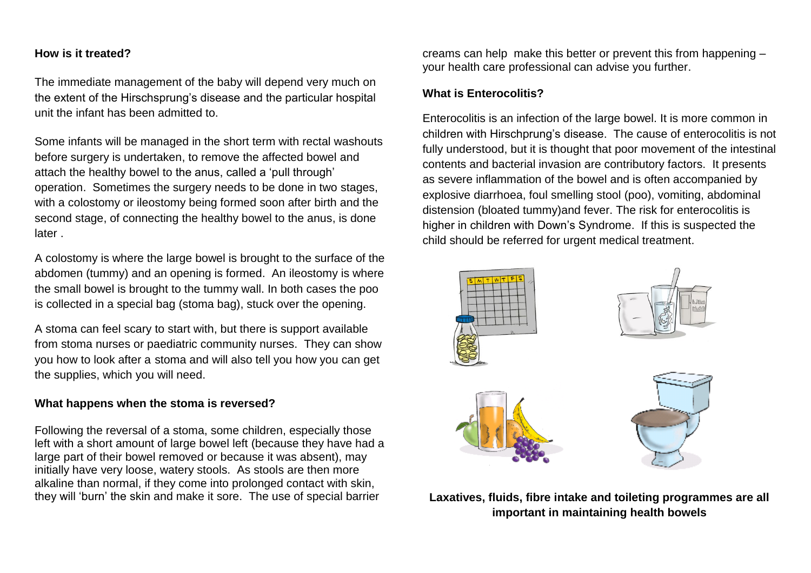#### **How is it treated?**

The immediate management of the baby will depend very much on the extent of the Hirschsprung's disease and the particular hospital unit the infant has been admitted to.

Some infants will be managed in the short term with rectal washouts before surgery is undertaken, to remove the affected bowel and attach the healthy bowel to the anus, called a 'pull through' operation. Sometimes the surgery needs to be done in two stages, with a colostomy or ileostomy being formed soon after birth and the second stage, of connecting the healthy bowel to the anus, is done later .

A colostomy is where the large bowel is brought to the surface of the abdomen (tummy) and an opening is formed. An ileostomy is where the small bowel is brought to the tummy wall. In both cases the poo is collected in a special bag (stoma bag), stuck over the opening.

A stoma can feel scary to start with, but there is support available from stoma nurses or paediatric community nurses. They can show you how to look after a stoma and will also tell you how you can get the supplies, which you will need.

#### **What happens when the stoma is reversed?**

Following the reversal of a stoma, some children, especially those left with a short amount of large bowel left (because they have had a large part of their bowel removed or because it was absent), may initially have very loose, watery stools. As stools are then more alkaline than normal, if they come into prolonged contact with skin, they will 'burn' the skin and make it sore. The use of special barrier

creams can help make this better or prevent this from happening – your health care professional can advise you further.

#### **What is Enterocolitis?**

Enterocolitis is an infection of the large bowel. It is more common in children with Hirschprung's disease. The cause of enterocolitis is not fully understood, but it is thought that poor movement of the intestinal contents and bacterial invasion are contributory factors. It presents as severe inflammation of the bowel and is often accompanied by explosive diarrhoea, foul smelling stool (poo), vomiting, abdominal distension (bloated tummy)and fever. The risk for enterocolitis is higher in children with Down's Syndrome. If this is suspected the child should be referred for urgent medical treatment.



**Laxatives, fluids, fibre intake and toileting programmes are all important in maintaining health bowels**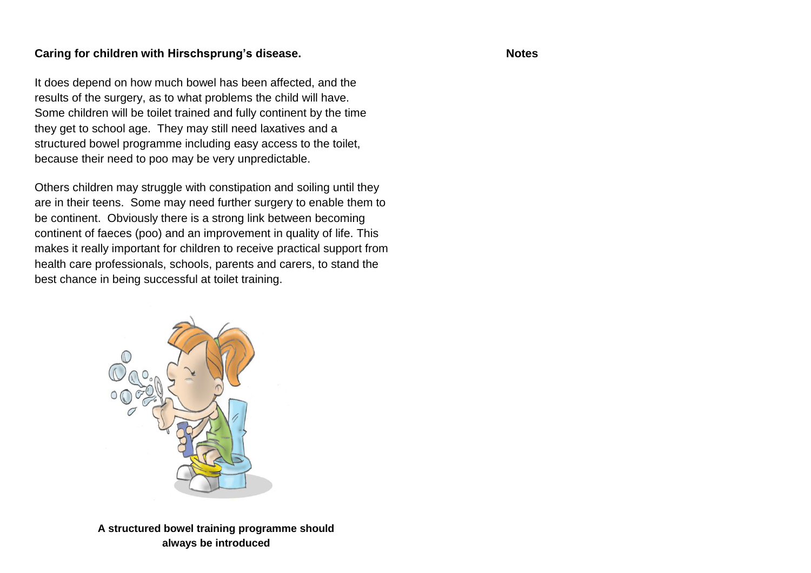### **Caring for children with Hirschsprung's disease.**

It does depend on how much bowel has been affected, and the results of the surgery, as to what problems the child will have. Some children will be toilet trained and fully continent by the time they get to school age. They may still need laxatives and a structured bowel programme including easy access to the toilet, because their need to poo may be very unpredictable.

Others children may struggle with constipation and soiling until they are in their teens. Some may need further surgery to enable them to be continent. Obviously there is a strong link between becoming continent of faeces (poo) and an improvement in quality of life. This makes it really important for children to receive practical support from health care professionals, schools, parents and carers, to stand the best chance in being successful at toilet training.



**A structured bowel training programme should always be introduced**